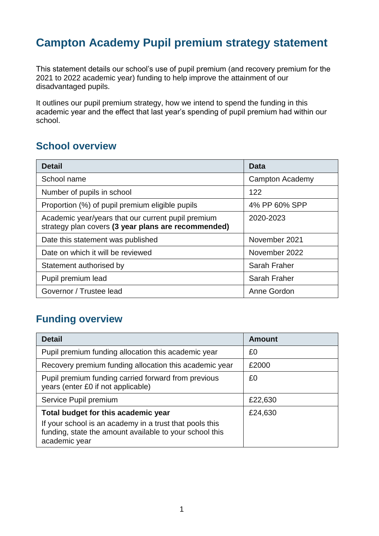## **Campton Academy Pupil premium strategy statement**

This statement details our school's use of pupil premium (and recovery premium for the 2021 to 2022 academic year) funding to help improve the attainment of our disadvantaged pupils.

It outlines our pupil premium strategy, how we intend to spend the funding in this academic year and the effect that last year's spending of pupil premium had within our school.

### **School overview**

| <b>Detail</b>                                                                                             | <b>Data</b>     |
|-----------------------------------------------------------------------------------------------------------|-----------------|
| School name                                                                                               | Campton Academy |
| Number of pupils in school                                                                                | 122             |
| Proportion (%) of pupil premium eligible pupils                                                           | 4% PP 60% SPP   |
| Academic year/years that our current pupil premium<br>strategy plan covers (3 year plans are recommended) | 2020-2023       |
| Date this statement was published                                                                         | November 2021   |
| Date on which it will be reviewed                                                                         | November 2022   |
| Statement authorised by                                                                                   | Sarah Fraher    |
| Pupil premium lead                                                                                        | Sarah Fraher    |
| Governor / Trustee lead                                                                                   | Anne Gordon     |

### **Funding overview**

| <b>Detail</b>                                                                                                                                                              | <b>Amount</b> |
|----------------------------------------------------------------------------------------------------------------------------------------------------------------------------|---------------|
| Pupil premium funding allocation this academic year                                                                                                                        | £0            |
| Recovery premium funding allocation this academic year                                                                                                                     | £2000         |
| Pupil premium funding carried forward from previous<br>years (enter £0 if not applicable)                                                                                  | £0            |
| Service Pupil premium                                                                                                                                                      | £22,630       |
| Total budget for this academic year<br>If your school is an academy in a trust that pools this<br>funding, state the amount available to your school this<br>academic year | £24,630       |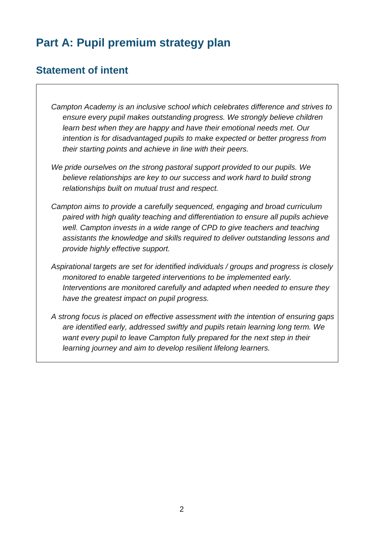## **Part A: Pupil premium strategy plan**

### **Statement of intent**

*Campton Academy is an inclusive school which celebrates difference and strives to ensure every pupil makes outstanding progress. We strongly believe children learn best when they are happy and have their emotional needs met. Our intention is for disadvantaged pupils to make expected or better progress from their starting points and achieve in line with their peers.*

- *We pride ourselves on the strong pastoral support provided to our pupils. We believe relationships are key to our success and work hard to build strong relationships built on mutual trust and respect.*
- *Campton aims to provide a carefully sequenced, engaging and broad curriculum paired with high quality teaching and differentiation to ensure all pupils achieve well. Campton invests in a wide range of CPD to give teachers and teaching assistants the knowledge and skills required to deliver outstanding lessons and provide highly effective support.*
- *Aspirational targets are set for identified individuals / groups and progress is closely monitored to enable targeted interventions to be implemented early. Interventions are monitored carefully and adapted when needed to ensure they have the greatest impact on pupil progress.*
- *A strong focus is placed on effective assessment with the intention of ensuring gaps are identified early, addressed swiftly and pupils retain learning long term. We want every pupil to leave Campton fully prepared for the next step in their learning journey and aim to develop resilient lifelong learners.*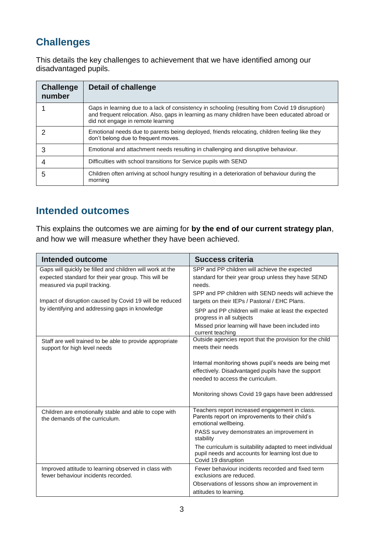## **Challenges**

This details the key challenges to achievement that we have identified among our disadvantaged pupils.

| <b>Challenge</b><br>number | Detail of challenge                                                                                                                                                                                                                   |
|----------------------------|---------------------------------------------------------------------------------------------------------------------------------------------------------------------------------------------------------------------------------------|
|                            | Gaps in learning due to a lack of consistency in schooling (resulting from Covid 19 disruption)<br>and frequent relocation. Also, gaps in learning as many children have been educated abroad or<br>did not engage in remote learning |
|                            | Emotional needs due to parents being deployed, friends relocating, children feeling like they<br>don't belong due to frequent moves.                                                                                                  |
| 3                          | Emotional and attachment needs resulting in challenging and disruptive behaviour.                                                                                                                                                     |
| 4                          | Difficulties with school transitions for Service pupils with SEND                                                                                                                                                                     |
| 5                          | Children often arriving at school hungry resulting in a deterioration of behaviour during the<br>morning                                                                                                                              |

### **Intended outcomes**

This explains the outcomes we are aiming for **by the end of our current strategy plan**, and how we will measure whether they have been achieved.

| <b>Intended outcome</b>                                                                                                                           | <b>Success criteria</b>                                                                                                              |
|---------------------------------------------------------------------------------------------------------------------------------------------------|--------------------------------------------------------------------------------------------------------------------------------------|
| Gaps will quickly be filled and children will work at the<br>expected standard for their year group. This will be<br>measured via pupil tracking. | SPP and PP children will achieve the expected<br>standard for their year group unless they have SEND<br>needs.                       |
| Impact of disruption caused by Covid 19 will be reduced<br>by identifying and addressing gaps in knowledge                                        | SPP and PP children with SEND needs will achieve the<br>targets on their IEPs / Pastoral / EHC Plans.                                |
|                                                                                                                                                   | SPP and PP children will make at least the expected<br>progress in all subjects                                                      |
|                                                                                                                                                   | Missed prior learning will have been included into<br>current teaching                                                               |
| Staff are well trained to be able to provide appropriate<br>support for high level needs                                                          | Outside agencies report that the provision for the child<br>meets their needs                                                        |
|                                                                                                                                                   | Internal monitoring shows pupil's needs are being met                                                                                |
|                                                                                                                                                   | effectively. Disadvantaged pupils have the support                                                                                   |
|                                                                                                                                                   | needed to access the curriculum.                                                                                                     |
|                                                                                                                                                   | Monitoring shows Covid 19 gaps have been addressed                                                                                   |
| Children are emotionally stable and able to cope with<br>the demands of the curriculum.                                                           | Teachers report increased engagement in class.<br>Parents report on improvements to their child's<br>emotional wellbeing.            |
|                                                                                                                                                   | PASS survey demonstrates an improvement in<br>stability                                                                              |
|                                                                                                                                                   | The curriculum is suitability adapted to meet individual<br>pupil needs and accounts for learning lost due to<br>Covid 19 disruption |
| Improved attitude to learning observed in class with<br>fewer behaviour incidents recorded.                                                       | Fewer behaviour incidents recorded and fixed term<br>exclusions are reduced.                                                         |
|                                                                                                                                                   | Observations of lessons show an improvement in                                                                                       |
|                                                                                                                                                   | attitudes to learning.                                                                                                               |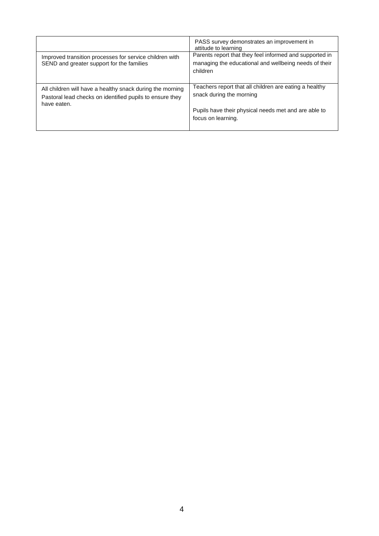|                                                                                                                                      | PASS survey demonstrates an improvement in<br>attitude to learning<br>Parents report that they feel informed and supported in |
|--------------------------------------------------------------------------------------------------------------------------------------|-------------------------------------------------------------------------------------------------------------------------------|
| Improved transition processes for service children with<br>SEND and greater support for the families                                 | managing the educational and wellbeing needs of their<br>children                                                             |
| All children will have a healthy snack during the morning<br>Pastoral lead checks on identified pupils to ensure they<br>have eaten. | Teachers report that all children are eating a healthy<br>snack during the morning                                            |
|                                                                                                                                      | Pupils have their physical needs met and are able to<br>focus on learning.                                                    |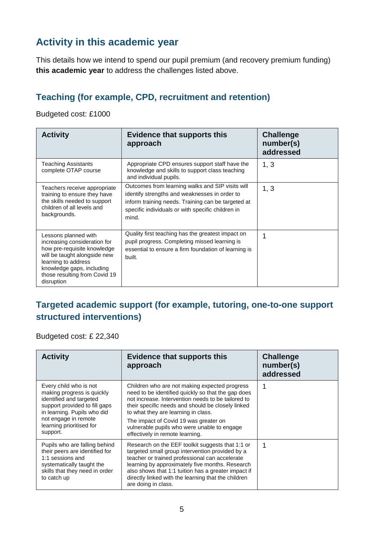## **Activity in this academic year**

This details how we intend to spend our pupil premium (and recovery premium funding) **this academic year** to address the challenges listed above.

### **Teaching (for example, CPD, recruitment and retention)**

Budgeted cost: £1000

| <b>Activity</b>                                                                                                                                                                                                        | <b>Evidence that supports this</b><br>approach                                                                                                                                                                        | <b>Challenge</b><br>number(s)<br>addressed |
|------------------------------------------------------------------------------------------------------------------------------------------------------------------------------------------------------------------------|-----------------------------------------------------------------------------------------------------------------------------------------------------------------------------------------------------------------------|--------------------------------------------|
| <b>Teaching Assistants</b><br>complete OTAP course                                                                                                                                                                     | Appropriate CPD ensures support staff have the<br>knowledge and skills to support class teaching<br>and individual pupils.                                                                                            | 1, 3                                       |
| Teachers receive appropriate<br>training to ensure they have<br>the skills needed to support<br>children of all levels and<br>backgrounds.                                                                             | Outcomes from learning walks and SIP visits will<br>identify strengths and weaknesses in order to<br>inform training needs. Training can be targeted at<br>specific individuals or with specific children in<br>mind. | 1, 3                                       |
| Lessons planned with<br>increasing consideration for<br>how pre-requisite knowledge<br>will be taught alongside new<br>learning to address<br>knowledge gaps, including<br>those resulting from Covid 19<br>disruption | Quality first teaching has the greatest impact on<br>pupil progress. Completing missed learning is<br>essential to ensure a firm foundation of learning is<br>built.                                                  | 1                                          |

#### **Targeted academic support (for example, tutoring, one-to-one support structured interventions)**

Budgeted cost: £ 22,340

| <b>Activity</b>                                                                                                                                                                                                 | <b>Evidence that supports this</b><br>approach                                                                                                                                                                                                                                                                                                                                   | <b>Challenge</b><br>number(s)<br>addressed |
|-----------------------------------------------------------------------------------------------------------------------------------------------------------------------------------------------------------------|----------------------------------------------------------------------------------------------------------------------------------------------------------------------------------------------------------------------------------------------------------------------------------------------------------------------------------------------------------------------------------|--------------------------------------------|
| Every child who is not<br>making progress is quickly<br>identified and targeted<br>support provided to fill gaps<br>in learning. Pupils who did<br>not engage in remote<br>learning prioritised for<br>support. | Children who are not making expected progress<br>need to be identified quickly so that the gap does<br>not increase. Intervention needs to be tailored to<br>their specific needs and should be closely linked<br>to what they are learning in class.<br>The impact of Covid 19 was greater on<br>vulnerable pupils who were unable to engage<br>effectively in remote learning. |                                            |
| Pupils who are falling behind<br>their peers are identified for<br>1:1 sessions and<br>systematically taught the<br>skills that they need in order<br>to catch up                                               | Research on the EEF toolkit suggests that 1:1 or<br>targeted small group intervention provided by a<br>teacher or trained professional can accelerate<br>learning by approximately five months. Research<br>also shows that 1:1 tuition has a greater impact if<br>directly linked with the learning that the children<br>are doing in class.                                    |                                            |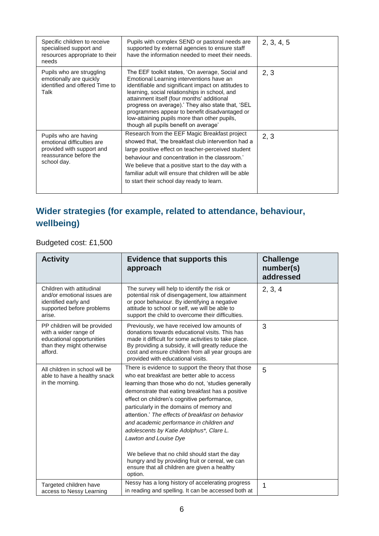| Specific children to receive<br>specialised support and<br>resources appropriate to their<br>needs                        | Pupils with complex SEND or pastoral needs are<br>supported by external agencies to ensure staff<br>have the information needed to meet their needs.                                                                                                                                                                                                                                                                                             | 2, 3, 4, 5 |
|---------------------------------------------------------------------------------------------------------------------------|--------------------------------------------------------------------------------------------------------------------------------------------------------------------------------------------------------------------------------------------------------------------------------------------------------------------------------------------------------------------------------------------------------------------------------------------------|------------|
| Pupils who are struggling<br>emotionally are quickly<br>identified and offered Time to<br>Talk                            | The EEF toolkit states, 'On average, Social and<br>Emotional Learning interventions have an<br>identifiable and significant impact on attitudes to<br>learning, social relationships in school, and<br>attainment itself (four months' additional<br>progress on average).' They also state that, 'SEL<br>programmes appear to benefit disadvantaged or<br>low-attaining pupils more than other pupils,<br>though all pupils benefit on average' | 2, 3       |
| Pupils who are having<br>emotional difficulties are<br>provided with support and<br>reassurance before the<br>school day. | Research from the EEF Magic Breakfast project<br>showed that, 'the breakfast club intervention had a<br>large positive effect on teacher-perceived student<br>behaviour and concentration in the classroom.'<br>We believe that a positive start to the day with a<br>familiar adult will ensure that children will be able<br>to start their school day ready to learn.                                                                         | 2, 3       |

### **Wider strategies (for example, related to attendance, behaviour, wellbeing)**

Budgeted cost: £1,500

| <b>Activity</b>                                                                                                            | <b>Evidence that supports this</b><br>approach                                                                                                                                                                                                                                                                                                                                                                                                                                                                                                                                                                                              | <b>Challenge</b><br>number(s)<br>addressed |
|----------------------------------------------------------------------------------------------------------------------------|---------------------------------------------------------------------------------------------------------------------------------------------------------------------------------------------------------------------------------------------------------------------------------------------------------------------------------------------------------------------------------------------------------------------------------------------------------------------------------------------------------------------------------------------------------------------------------------------------------------------------------------------|--------------------------------------------|
| Children with attitudinal<br>and/or emotional issues are<br>identified early and<br>supported before problems<br>arise.    | The survey will help to identify the risk or<br>potential risk of disengagement, low attainment<br>or poor behaviour. By identifying a negative<br>attitude to school or self, we will be able to<br>support the child to overcome their difficulties.                                                                                                                                                                                                                                                                                                                                                                                      | 2, 3, 4                                    |
| PP children will be provided<br>with a wider range of<br>educational opportunities<br>than they might otherwise<br>afford. | Previously, we have received low amounts of<br>donations towards educational visits. This has<br>made it difficult for some activities to take place.<br>By providing a subsidy, it will greatly reduce the<br>cost and ensure children from all year groups are<br>provided with educational visits.                                                                                                                                                                                                                                                                                                                                       | 3                                          |
| All children in school will be<br>able to have a healthy snack<br>in the morning.                                          | There is evidence to support the theory that those<br>who eat breakfast are better able to access<br>learning than those who do not, 'studies generally<br>demonstrate that eating breakfast has a positive<br>effect on children's cognitive performance,<br>particularly in the domains of memory and<br>attention.' The effects of breakfast on behavior<br>and academic performance in children and<br>adolescents by Katie Adolphus*, Clare L.<br>Lawton and Louise Dye<br>We believe that no child should start the day<br>hungry and by providing fruit or cereal, we can<br>ensure that all children are given a healthy<br>option. | 5                                          |
| Targeted children have<br>access to Nessy Learning                                                                         | Nessy has a long history of accelerating progress<br>in reading and spelling. It can be accessed both at                                                                                                                                                                                                                                                                                                                                                                                                                                                                                                                                    | 1                                          |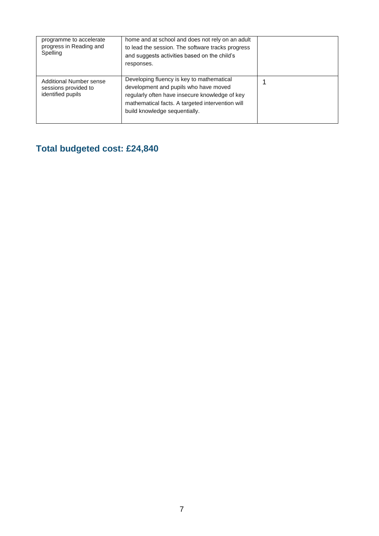| programme to accelerate<br>progress in Reading and<br>Spelling       | home and at school and does not rely on an adult<br>to lead the session. The software tracks progress<br>and suggests activities based on the child's<br>responses.                                                       |  |
|----------------------------------------------------------------------|---------------------------------------------------------------------------------------------------------------------------------------------------------------------------------------------------------------------------|--|
| Additional Number sense<br>sessions provided to<br>identified pupils | Developing fluency is key to mathematical<br>development and pupils who have moved<br>regularly often have insecure knowledge of key<br>mathematical facts. A targeted intervention will<br>build knowledge sequentially. |  |

## **Total budgeted cost: £24,840**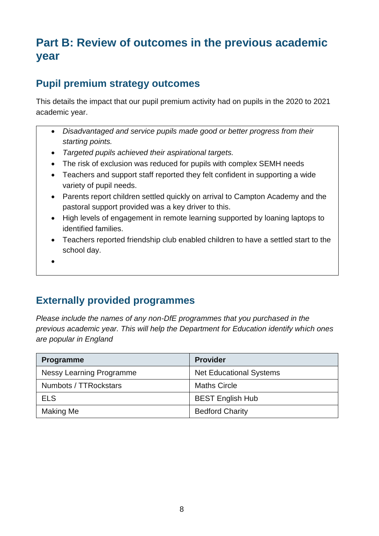## **Part B: Review of outcomes in the previous academic year**

### **Pupil premium strategy outcomes**

This details the impact that our pupil premium activity had on pupils in the 2020 to 2021 academic year.

- *Disadvantaged and service pupils made good or better progress from their starting points.*
- *Targeted pupils achieved their aspirational targets.*
- The risk of exclusion was reduced for pupils with complex SEMH needs
- Teachers and support staff reported they felt confident in supporting a wide variety of pupil needs.
- Parents report children settled quickly on arrival to Campton Academy and the pastoral support provided was a key driver to this.
- High levels of engagement in remote learning supported by loaning laptops to identified families.
- Teachers reported friendship club enabled children to have a settled start to the school day.
- $\bullet$

### **Externally provided programmes**

*Please include the names of any non-DfE programmes that you purchased in the previous academic year. This will help the Department for Education identify which ones are popular in England*

| Programme                       | <b>Provider</b>                |
|---------------------------------|--------------------------------|
| <b>Nessy Learning Programme</b> | <b>Net Educational Systems</b> |
| Numbots / TTRockstars           | <b>Maths Circle</b>            |
| <b>ELS</b>                      | <b>BEST English Hub</b>        |
| Making Me                       | <b>Bedford Charity</b>         |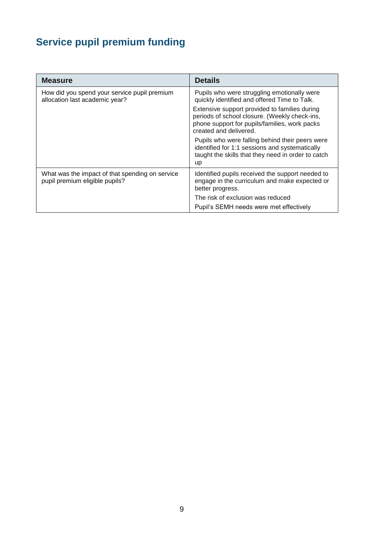# **Service pupil premium funding**

| <b>Measure</b>                                                                    | <b>Details</b>                                                                                                                                                                                                                                                           |
|-----------------------------------------------------------------------------------|--------------------------------------------------------------------------------------------------------------------------------------------------------------------------------------------------------------------------------------------------------------------------|
| How did you spend your service pupil premium<br>allocation last academic year?    | Pupils who were struggling emotionally were<br>quickly identified and offered Time to Talk.<br>Extensive support provided to families during<br>periods of school closure. (Weekly check-ins,<br>phone support for pupils/families, work packs<br>created and delivered. |
|                                                                                   | Pupils who were falling behind their peers were<br>identified for 1:1 sessions and systematically<br>taught the skills that they need in order to catch<br>up                                                                                                            |
| What was the impact of that spending on service<br>pupil premium eligible pupils? | Identified pupils received the support needed to<br>engage in the curriculum and make expected or<br>better progress.                                                                                                                                                    |
|                                                                                   | The risk of exclusion was reduced<br>Pupil's SEMH needs were met effectively                                                                                                                                                                                             |